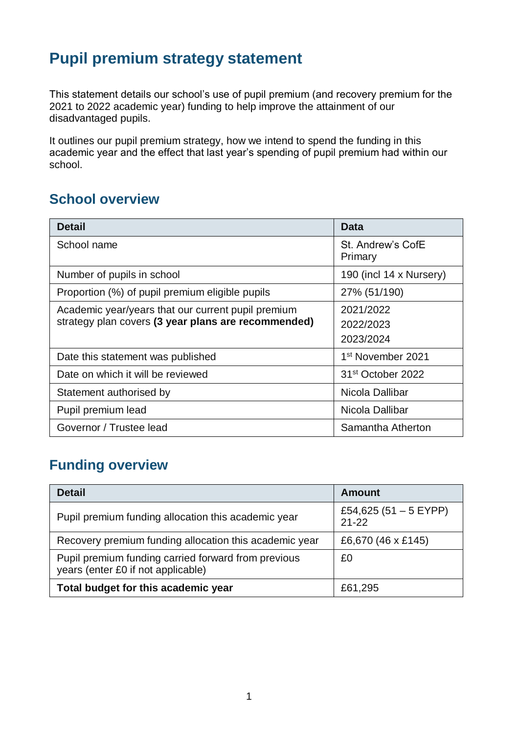## **Pupil premium strategy statement**

This statement details our school's use of pupil premium (and recovery premium for the 2021 to 2022 academic year) funding to help improve the attainment of our disadvantaged pupils.

It outlines our pupil premium strategy, how we intend to spend the funding in this academic year and the effect that last year's spending of pupil premium had within our school.

### **School overview**

| <b>Detail</b>                                                                                             | <b>Data</b>                         |
|-----------------------------------------------------------------------------------------------------------|-------------------------------------|
| School name                                                                                               | St. Andrew's CofE<br>Primary        |
| Number of pupils in school                                                                                | 190 (incl 14 x Nursery)             |
| Proportion (%) of pupil premium eligible pupils                                                           | 27% (51/190)                        |
| Academic year/years that our current pupil premium<br>strategy plan covers (3 year plans are recommended) | 2021/2022<br>2022/2023<br>2023/2024 |
| Date this statement was published                                                                         | 1 <sup>st</sup> November 2021       |
| Date on which it will be reviewed                                                                         | 31 <sup>st</sup> October 2022       |
| Statement authorised by                                                                                   | Nicola Dallibar                     |
| Pupil premium lead                                                                                        | Nicola Dallibar                     |
| Governor / Trustee lead                                                                                   | Samantha Atherton                   |

## **Funding overview**

| <b>Detail</b>                                                                             | Amount                             |
|-------------------------------------------------------------------------------------------|------------------------------------|
| Pupil premium funding allocation this academic year                                       | £54,625 (51 - 5 EYPP)<br>$21 - 22$ |
| Recovery premium funding allocation this academic year                                    | £6,670 (46 x £145)                 |
| Pupil premium funding carried forward from previous<br>years (enter £0 if not applicable) | £0                                 |
| Total budget for this academic year                                                       | £61,295                            |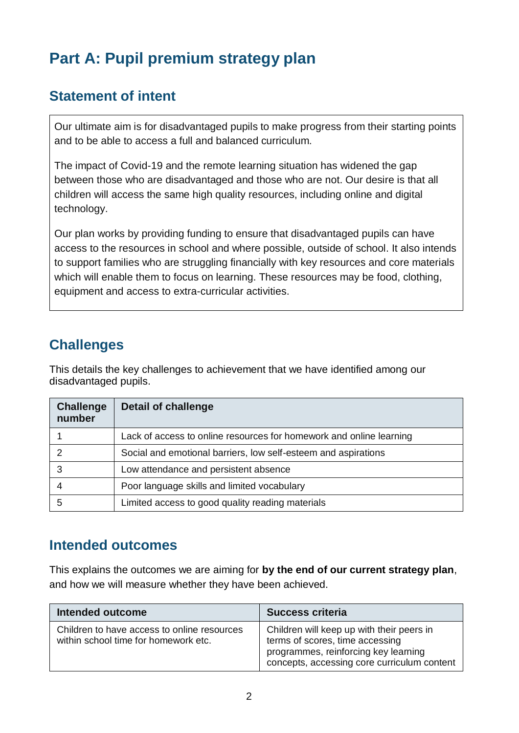## **Part A: Pupil premium strategy plan**

## **Statement of intent**

Our ultimate aim is for disadvantaged pupils to make progress from their starting points and to be able to access a full and balanced curriculum.

The impact of Covid-19 and the remote learning situation has widened the gap between those who are disadvantaged and those who are not. Our desire is that all children will access the same high quality resources, including online and digital technology.

Our plan works by providing funding to ensure that disadvantaged pupils can have access to the resources in school and where possible, outside of school. It also intends to support families who are struggling financially with key resources and core materials which will enable them to focus on learning. These resources may be food, clothing, equipment and access to extra-curricular activities.

## **Challenges**

This details the key challenges to achievement that we have identified among our disadvantaged pupils.

| <b>Challenge</b><br>number | <b>Detail of challenge</b>                                          |
|----------------------------|---------------------------------------------------------------------|
|                            | Lack of access to online resources for homework and online learning |
| ◠                          | Social and emotional barriers, low self-esteem and aspirations      |
| 3                          | Low attendance and persistent absence                               |
|                            | Poor language skills and limited vocabulary                         |
| 5                          | Limited access to good quality reading materials                    |

#### **Intended outcomes**

This explains the outcomes we are aiming for **by the end of our current strategy plan**, and how we will measure whether they have been achieved.

| Intended outcome                                                                    | <b>Success criteria</b>                                                                                                                                             |
|-------------------------------------------------------------------------------------|---------------------------------------------------------------------------------------------------------------------------------------------------------------------|
| Children to have access to online resources<br>within school time for homework etc. | Children will keep up with their peers in<br>terms of scores, time accessing<br>programmes, reinforcing key learning<br>concepts, accessing core curriculum content |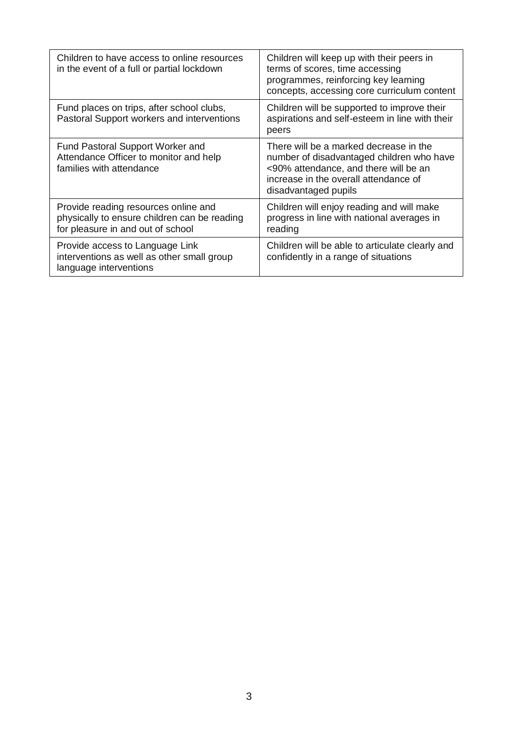| Children to have access to online resources<br>in the event of a full or partial lockdown                                 | Children will keep up with their peers in<br>terms of scores, time accessing<br>programmes, reinforcing key learning<br>concepts, accessing core curriculum content                           |
|---------------------------------------------------------------------------------------------------------------------------|-----------------------------------------------------------------------------------------------------------------------------------------------------------------------------------------------|
| Fund places on trips, after school clubs,<br>Pastoral Support workers and interventions                                   | Children will be supported to improve their<br>aspirations and self-esteem in line with their<br>peers                                                                                        |
| Fund Pastoral Support Worker and<br>Attendance Officer to monitor and help<br>families with attendance                    | There will be a marked decrease in the<br>number of disadvantaged children who have<br><90% attendance, and there will be an<br>increase in the overall attendance of<br>disadvantaged pupils |
| Provide reading resources online and<br>physically to ensure children can be reading<br>for pleasure in and out of school | Children will enjoy reading and will make<br>progress in line with national averages in<br>reading                                                                                            |
| Provide access to Language Link<br>interventions as well as other small group<br>language interventions                   | Children will be able to articulate clearly and<br>confidently in a range of situations                                                                                                       |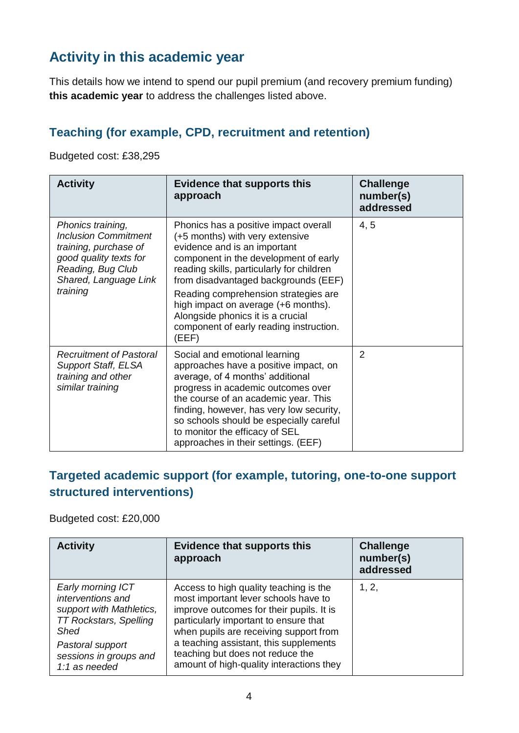## **Activity in this academic year**

This details how we intend to spend our pupil premium (and recovery premium funding) **this academic year** to address the challenges listed above.

#### **Teaching (for example, CPD, recruitment and retention)**

Budgeted cost: £38,295

| <b>Activity</b>                                                                                                                                               | <b>Evidence that supports this</b><br>approach                                                                                                                                                                                                                                                                                                                                                                 | <b>Challenge</b><br>number(s)<br>addressed |
|---------------------------------------------------------------------------------------------------------------------------------------------------------------|----------------------------------------------------------------------------------------------------------------------------------------------------------------------------------------------------------------------------------------------------------------------------------------------------------------------------------------------------------------------------------------------------------------|--------------------------------------------|
| Phonics training,<br><b>Inclusion Commitment</b><br>training, purchase of<br>good quality texts for<br>Reading, Bug Club<br>Shared, Language Link<br>training | Phonics has a positive impact overall<br>(+5 months) with very extensive<br>evidence and is an important<br>component in the development of early<br>reading skills, particularly for children<br>from disadvantaged backgrounds (EEF)<br>Reading comprehension strategies are<br>high impact on average (+6 months).<br>Alongside phonics it is a crucial<br>component of early reading instruction.<br>(EEF) | 4, 5                                       |
| <b>Recruitment of Pastoral</b><br><b>Support Staff, ELSA</b><br>training and other<br>similar training                                                        | Social and emotional learning<br>approaches have a positive impact, on<br>average, of 4 months' additional<br>progress in academic outcomes over<br>the course of an academic year. This<br>finding, however, has very low security,<br>so schools should be especially careful<br>to monitor the efficacy of SEL<br>approaches in their settings. (EEF)                                                       | 2                                          |

#### **Targeted academic support (for example, tutoring, one-to-one support structured interventions)**

Budgeted cost: £20,000

| <b>Activity</b>                                                                                                                                                                   | <b>Evidence that supports this</b><br>approach                                                                                                                                                                                                                                                                                          | <b>Challenge</b><br>number(s)<br>addressed |
|-----------------------------------------------------------------------------------------------------------------------------------------------------------------------------------|-----------------------------------------------------------------------------------------------------------------------------------------------------------------------------------------------------------------------------------------------------------------------------------------------------------------------------------------|--------------------------------------------|
| Early morning ICT<br>interventions and<br>support with Mathletics,<br><b>TT Rockstars, Spelling</b><br><b>Shed</b><br>Pastoral support<br>sessions in groups and<br>1:1 as needed | Access to high quality teaching is the<br>most important lever schools have to<br>improve outcomes for their pupils. It is<br>particularly important to ensure that<br>when pupils are receiving support from<br>a teaching assistant, this supplements<br>teaching but does not reduce the<br>amount of high-quality interactions they | 1, 2,                                      |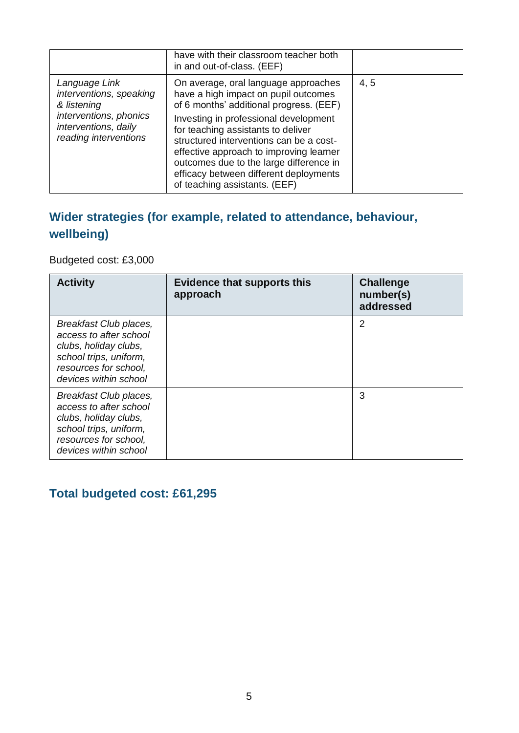|                                                                                                                                    | have with their classroom teacher both<br>in and out-of-class. (EEF)                                                                                                                                                                                                                                                                                                                                               |      |
|------------------------------------------------------------------------------------------------------------------------------------|--------------------------------------------------------------------------------------------------------------------------------------------------------------------------------------------------------------------------------------------------------------------------------------------------------------------------------------------------------------------------------------------------------------------|------|
| Language Link<br>interventions, speaking<br>& listening<br>interventions, phonics<br>interventions, daily<br>reading interventions | On average, oral language approaches<br>have a high impact on pupil outcomes<br>of 6 months' additional progress. (EEF)<br>Investing in professional development<br>for teaching assistants to deliver<br>structured interventions can be a cost-<br>effective approach to improving learner<br>outcomes due to the large difference in<br>efficacy between different deployments<br>of teaching assistants. (EEF) | 4, 5 |

### **Wider strategies (for example, related to attendance, behaviour, wellbeing)**

Budgeted cost: £3,000

| <b>Activity</b>                                                                                                                                       | <b>Evidence that supports this</b><br>approach | <b>Challenge</b><br>number(s)<br>addressed |
|-------------------------------------------------------------------------------------------------------------------------------------------------------|------------------------------------------------|--------------------------------------------|
| Breakfast Club places,<br>access to after school<br>clubs, holiday clubs,<br>school trips, uniform,<br>resources for school,<br>devices within school |                                                | $\overline{2}$                             |
| Breakfast Club places,<br>access to after school<br>clubs, holiday clubs,<br>school trips, uniform,<br>resources for school,<br>devices within school |                                                | 3                                          |

## **Total budgeted cost: £61,295**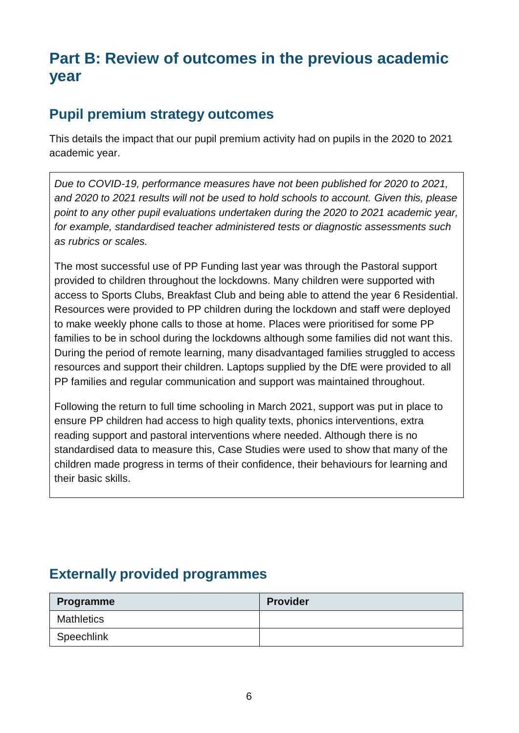## **Part B: Review of outcomes in the previous academic year**

### **Pupil premium strategy outcomes**

This details the impact that our pupil premium activity had on pupils in the 2020 to 2021 academic year.

*Due to COVID-19, performance measures have not been published for 2020 to 2021, and 2020 to 2021 results will not be used to hold schools to account. Given this, please point to any other pupil evaluations undertaken during the 2020 to 2021 academic year, for example, standardised teacher administered tests or diagnostic assessments such as rubrics or scales.*

The most successful use of PP Funding last year was through the Pastoral support provided to children throughout the lockdowns. Many children were supported with access to Sports Clubs, Breakfast Club and being able to attend the year 6 Residential. Resources were provided to PP children during the lockdown and staff were deployed to make weekly phone calls to those at home. Places were prioritised for some PP families to be in school during the lockdowns although some families did not want this. During the period of remote learning, many disadvantaged families struggled to access resources and support their children. Laptops supplied by the DfE were provided to all PP families and regular communication and support was maintained throughout.

Following the return to full time schooling in March 2021, support was put in place to ensure PP children had access to high quality texts, phonics interventions, extra reading support and pastoral interventions where needed. Although there is no standardised data to measure this, Case Studies were used to show that many of the children made progress in terms of their confidence, their behaviours for learning and their basic skills.

## **Externally provided programmes**

| Programme         | <b>Provider</b> |
|-------------------|-----------------|
| <b>Mathletics</b> |                 |
| Speechlink        |                 |